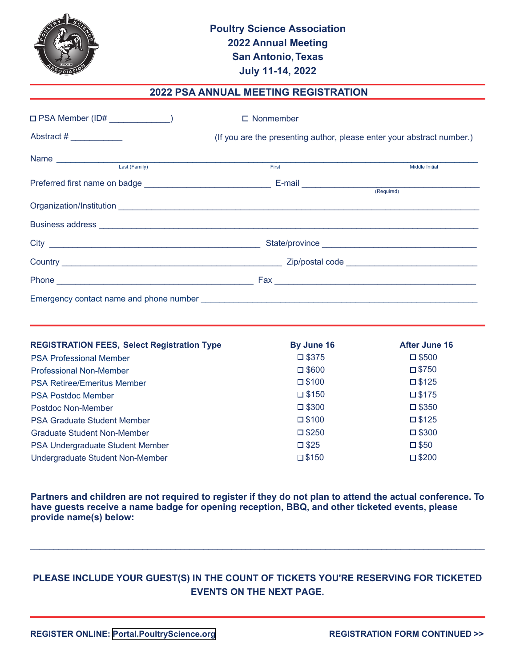

## **2022 PSA ANNUAL MEETING REGISTRATION**

| $\square$ PSA Member (ID# $\_\_\_\_\_\_\_\_\_\_\_$                                                                                                                                                                                   | $\Box$ Nonmember                                                       |                       |  |
|--------------------------------------------------------------------------------------------------------------------------------------------------------------------------------------------------------------------------------------|------------------------------------------------------------------------|-----------------------|--|
| Abstract #                                                                                                                                                                                                                           | (If you are the presenting author, please enter your abstract number.) |                       |  |
|                                                                                                                                                                                                                                      |                                                                        |                       |  |
| Last (Family)                                                                                                                                                                                                                        | <b>First Executive State</b>                                           | <b>Middle Initial</b> |  |
|                                                                                                                                                                                                                                      |                                                                        |                       |  |
|                                                                                                                                                                                                                                      |                                                                        |                       |  |
|                                                                                                                                                                                                                                      |                                                                        |                       |  |
| Business address <b>contract to the contract of the contract of the contract of the contract of the contract of the contract of the contract of the contract of the contract of the contract of the contract of the contract of </b> |                                                                        |                       |  |
|                                                                                                                                                                                                                                      |                                                                        |                       |  |
|                                                                                                                                                                                                                                      |                                                                        |                       |  |
|                                                                                                                                                                                                                                      |                                                                        |                       |  |
|                                                                                                                                                                                                                                      |                                                                        |                       |  |

| <b>REGISTRATION FEES, Select Registration Type</b> | By June 16      | After June 16   |
|----------------------------------------------------|-----------------|-----------------|
| <b>PSA Professional Member</b>                     | $\square$ \$375 | $\square$ \$500 |
| <b>Professional Non-Member</b>                     | $\square$ \$600 | $\square$ \$750 |
| <b>PSA Retiree/Emeritus Member</b>                 | $\square$ \$100 | $\square$ \$125 |
| <b>PSA Postdoc Member</b>                          | $\square$ \$150 | $\square$ \$175 |
| Postdoc Non-Member                                 | $\square$ \$300 | $\square$ \$350 |
| <b>PSA Graduate Student Member</b>                 | $\square$ \$100 | $\square$ \$125 |
| Graduate Student Non-Member                        | $\square$ \$250 | $\square$ \$300 |
| PSA Undergraduate Student Member                   | $\square$ \$25  | $\square$ \$50  |
| Undergraduate Student Non-Member                   | $\square$ \$150 | $\square$ \$200 |

**Partners and children are not required to register if they do not plan to attend the actual conference. To have guests receive a name badge for opening reception, BBQ, and other ticketed events, please provide name(s) below:**

## **PLEASE INCLUDE YOUR GUEST(S) IN THE COUNT OF TICKETS YOU'RE RESERVING FOR TICKETED EVENTS ON THE NEXT PAGE.**

\_\_\_\_\_\_\_\_\_\_\_\_\_\_\_\_\_\_\_\_\_\_\_\_\_\_\_\_\_\_\_\_\_\_\_\_\_\_\_\_\_\_\_\_\_\_\_\_\_\_\_\_\_\_\_\_\_\_\_\_\_\_\_\_\_\_\_\_\_\_\_\_\_\_\_\_\_\_\_\_\_\_\_\_\_\_\_\_\_\_\_\_\_\_\_\_\_